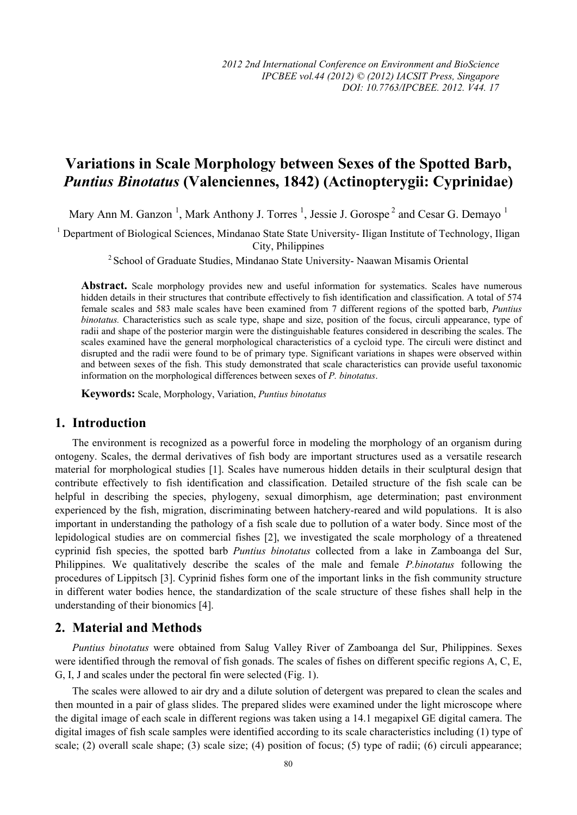# **Variations in Scale Morphology between Sexes of the Spotted Barb,**  *Puntius Binotatus* **(Valenciennes, 1842) (Actinopterygii: Cyprinidae)**

Mary Ann M. Ganzon<sup>1</sup>, Mark Anthony J. Torres<sup>1</sup>, Jessie J. Gorospe<sup>2</sup> and Cesar G. Demayo<sup>1</sup>

<sup>1</sup> Department of Biological Sciences, Mindanao State State University- Iligan Institute of Technology, Iligan City, Philippines

2 School of Graduate Studies, Mindanao State University- Naawan Misamis Oriental

Abstract. Scale morphology provides new and useful information for systematics. Scales have numerous hidden details in their structures that contribute effectively to fish identification and classification. A total of 574 female scales and 583 male scales have been examined from 7 different regions of the spotted barb, *Puntius binotatus.* Characteristics such as scale type, shape and size, position of the focus, circuli appearance, type of radii and shape of the posterior margin were the distinguishable features considered in describing the scales. The scales examined have the general morphological characteristics of a cycloid type. The circuli were distinct and disrupted and the radii were found to be of primary type. Significant variations in shapes were observed within and between sexes of the fish. This study demonstrated that scale characteristics can provide useful taxonomic information on the morphological differences between sexes of *P. binotatus*.

**Keywords:** Scale, Morphology, Variation, *Puntius binotatus*

## **1. Introduction**

The environment is recognized as a powerful force in modeling the morphology of an organism during ontogeny. Scales, the dermal derivatives of fish body are important structures used as a versatile research material for morphological studies [1]. Scales have numerous hidden details in their sculptural design that contribute effectively to fish identification and classification. Detailed structure of the fish scale can be helpful in describing the species, phylogeny, sexual dimorphism, age determination; past environment experienced by the fish, migration, discriminating between hatchery-reared and wild populations. It is also important in understanding the pathology of a fish scale due to pollution of a water body. Since most of the lepidological studies are on commercial fishes [2], we investigated the scale morphology of a threatened cyprinid fish species, the spotted barb *Puntius binotatus* collected from a lake in Zamboanga del Sur, Philippines. We qualitatively describe the scales of the male and female *P.binotatus* following the procedures of Lippitsch [3]. Cyprinid fishes form one of the important links in the fish community structure in different water bodies hence, the standardization of the scale structure of these fishes shall help in the understanding of their bionomics [4].

#### **2. Material and Methods**

*Puntius binotatus* were obtained from Salug Valley River of Zamboanga del Sur, Philippines. Sexes were identified through the removal of fish gonads. The scales of fishes on different specific regions A, C, E, G, I, J and scales under the pectoral fin were selected (Fig. 1).

The scales were allowed to air dry and a dilute solution of detergent was prepared to clean the scales and then mounted in a pair of glass slides. The prepared slides were examined under the light microscope where the digital image of each scale in different regions was taken using a 14.1 megapixel GE digital camera. The digital images of fish scale samples were identified according to its scale characteristics including (1) type of scale; (2) overall scale shape; (3) scale size; (4) position of focus; (5) type of radii; (6) circuli appearance;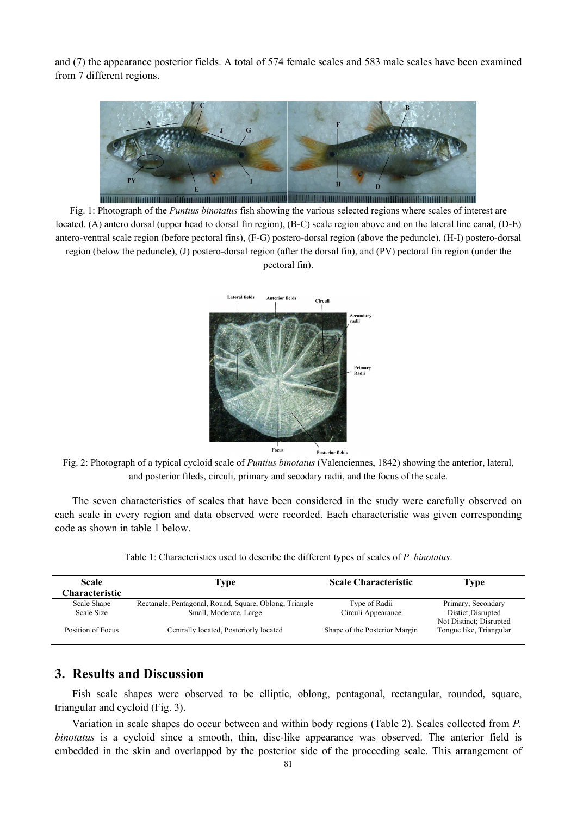and (7) the appearance posterior fields. A total of 574 female scales and 583 male scales have been examined from 7 different regions.



Fig. 1: Photograph of the *Puntius binotatus* fish showing the various selected regions where scales of interest are located. (A) antero dorsal (upper head to dorsal fin region), (B-C) scale region above and on the lateral line canal, (D-E) antero-ventral scale region (before pectoral fins), (F-G) postero-dorsal region (above the peduncle), (H-I) postero-dorsal region (below the peduncle), (J) postero-dorsal region (after the dorsal fin), and (PV) pectoral fin region (under the pectoral fin).



Fig. 2: Photograph of a typical cycloid scale of *Puntius binotatus* (Valenciennes, 1842) showing the anterior, lateral, and posterior fileds, circuli, primary and secodary radii, and the focus of the scale.

The seven characteristics of scales that have been considered in the study were carefully observed on each scale in every region and data observed were recorded. Each characteristic was given corresponding code as shown in table 1 below.

Table 1: Characteristics used to describe the different types of scales of *P. binotatus*.

| <b>Scale</b><br>Characteristic | Fvpe                                                                             | <b>Scale Characteristic</b>         | Type                                               |
|--------------------------------|----------------------------------------------------------------------------------|-------------------------------------|----------------------------------------------------|
| Scale Shape<br>Scale Size      | Rectangle, Pentagonal, Round, Square, Oblong, Triangle<br>Small, Moderate, Large | Type of Radii<br>Circuli Appearance | Primary, Secondary<br>Distict; Disrupted           |
| Position of Focus              | Centrally located, Posteriorly located                                           | Shape of the Posterior Margin       | Not Distinct; Disrupted<br>Tongue like, Triangular |

### **3. Results and Discussion**

Fish scale shapes were observed to be elliptic, oblong, pentagonal, rectangular, rounded, square, triangular and cycloid (Fig. 3).

Variation in scale shapes do occur between and within body regions (Table 2). Scales collected from *P. binotatus* is a cycloid since a smooth, thin, disc-like appearance was observed. The anterior field is embedded in the skin and overlapped by the posterior side of the proceeding scale. This arrangement of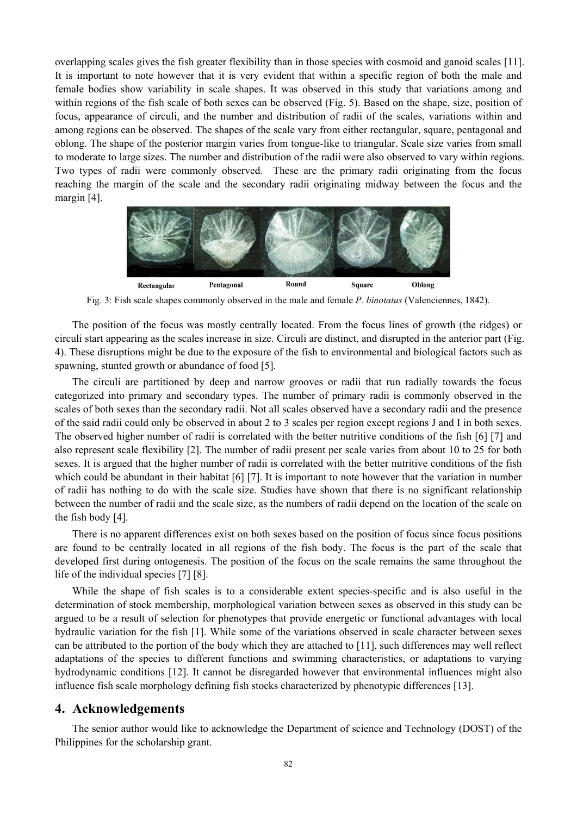overlapping scales gives the fish greater flexibility than in those species with cosmoid and ganoid scales [11]. It is important to note however that it is very evident that within a specific region of both the male and female bodies show variability in scale shapes. It was observed in this study that variations among and within regions of the fish scale of both sexes can be observed (Fig. 5). Based on the shape, size, position of focus, appearance of circuli, and the number and distribution of radii of the scales, variations within and among regions can be observed. The shapes of the scale vary from either rectangular, square, pentagonal and oblong. The shape of the posterior margin varies from tongue-like to triangular. Scale size varies from small to moderate to large sizes. The number and distribution of the radii were also observed to vary within regions. Two types of radii were commonly observed. These are the primary radii originating from the focus reaching the margin of the scale and the secondary radii originating midway between the focus and the margin [4].



Fig. 3: Fish scale shapes commonly observed in the male and female *P. binotatus* (Valenciennes, 1842).

The position of the focus was mostly centrally located. From the focus lines of growth (the ridges) or circuli start appearing as the scales increase in size. Circuli are distinct, and disrupted in the anterior part (Fig. 4). These disruptions might be due to the exposure of the fish to environmental and biological factors such as spawning, stunted growth or abundance of food [5].

The circuli are partitioned by deep and narrow grooves or radii that run radially towards the focus categorized into primary and secondary types. The number of primary radii is commonly observed in the scales of both sexes than the secondary radii. Not all scales observed have a secondary radii and the presence of the said radii could only be observed in about 2 to 3 scales per region except regions J and I in both sexes. The observed higher number of radii is correlated with the better nutritive conditions of the fish [6] [7] and also represent scale flexibility [2]. The number of radii present per scale varies from about 10 to 25 for both sexes. It is argued that the higher number of radii is correlated with the better nutritive conditions of the fish which could be abundant in their habitat [6] [7]. It is important to note however that the variation in number of radii has nothing to do with the scale size. Studies have shown that there is no significant relationship between the number of radii and the scale size, as the numbers of radii depend on the location of the scale on the fish body [4].

There is no apparent differences exist on both sexes based on the position of focus since focus positions are found to be centrally located in all regions of the fish body. The focus is the part of the scale that developed first during ontogenesis. The position of the focus on the scale remains the same throughout the life of the individual species [7] [8].

While the shape of fish scales is to a considerable extent species-specific and is also useful in the determination of stock membership, morphological variation between sexes as observed in this study can be argued to be a result of selection for phenotypes that provide energetic or functional advantages with local hydraulic variation for the fish [1]. While some of the variations observed in scale character between sexes can be attributed to the portion of the body which they are attached to [11], such differences may well reflect adaptations of the species to different functions and swimming characteristics, or adaptations to varying hydrodynamic conditions [12]. It cannot be disregarded however that environmental influences might also influence fish scale morphology defining fish stocks characterized by phenotypic differences [13].

### **4. Acknowledgements**

The senior author would like to acknowledge the Department of science and Technology (DOST) of the Philippines for the scholarship grant.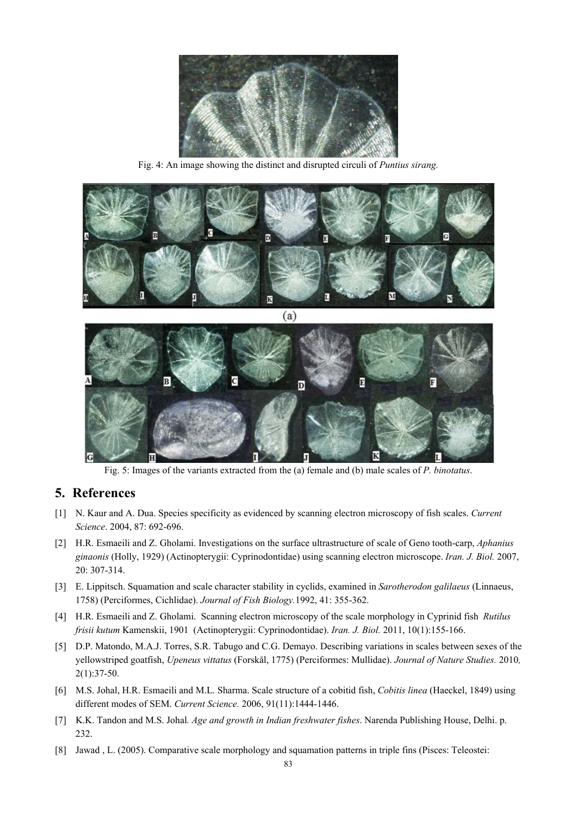

Fig. 4: An image showing the distinct and disrupted circuli of *Puntius sirang.* 



Fig. 5: Images of the variants extracted from the (a) female and (b) male scales of *P. binotatus*.

## **5. References**

- [1] N. Kaur and A. Dua. Species specificity as evidenced by scanning electron microscopy of fish scales. *Current Science*. 2004, 87: 692-696.
- [2] H.R. Esmaeili and Z. Gholami. Investigations on the surface ultrastructure of scale of Geno tooth-carp, *Aphanius ginaonis* (Holly, 1929) (Actinopterygii: Cyprinodontidae) using scanning electron microscope. *Iran. J. Biol.* 2007, 20: 307-314.
- [3] E. Lippitsch. Squamation and scale character stability in cyclids, examined in *Sarotherodon galilaeus* (Linnaeus, 1758) (Perciformes, Cichlidae). *Journal of Fish Biology.*1992, 41: 355-362.
- [4] H.R. Esmaeili and Z. Gholami. Scanning electron microscopy of the scale morphology in Cyprinid fish *Rutilus frisii kutum* Kamenskii, 1901 (Actinopterygii: Cyprinodontidae). *Iran. J. Biol.* 2011, 10(1):155-166.
- [5] D.P. Matondo, M.A.J. Torres, S.R. Tabugo and C.G. Demayo. Describing variations in scales between sexes of the yellowstriped goatfish, *Upeneus vittatus* (Forskål, 1775) (Perciformes: Mullidae). *Journal of Nature Studies.* 2010*,*  2(1):37-50.
- [6] M.S. Johal, H.R. Esmaeili and M.L. Sharma. Scale structure of a cobitid fish, *Cobitis linea* (Haeckel, 1849) using different modes of SEM. *Current Science.* 2006, 91(11):1444-1446.
- [7] K.K. Tandon and M.S. Johal*. Age and growth in Indian freshwater fishes*. Narenda Publishing House, Delhi. p. 232.
- [8] Jawad , L. (2005). Comparative scale morphology and squamation patterns in triple fins (Pisces: Teleostei: